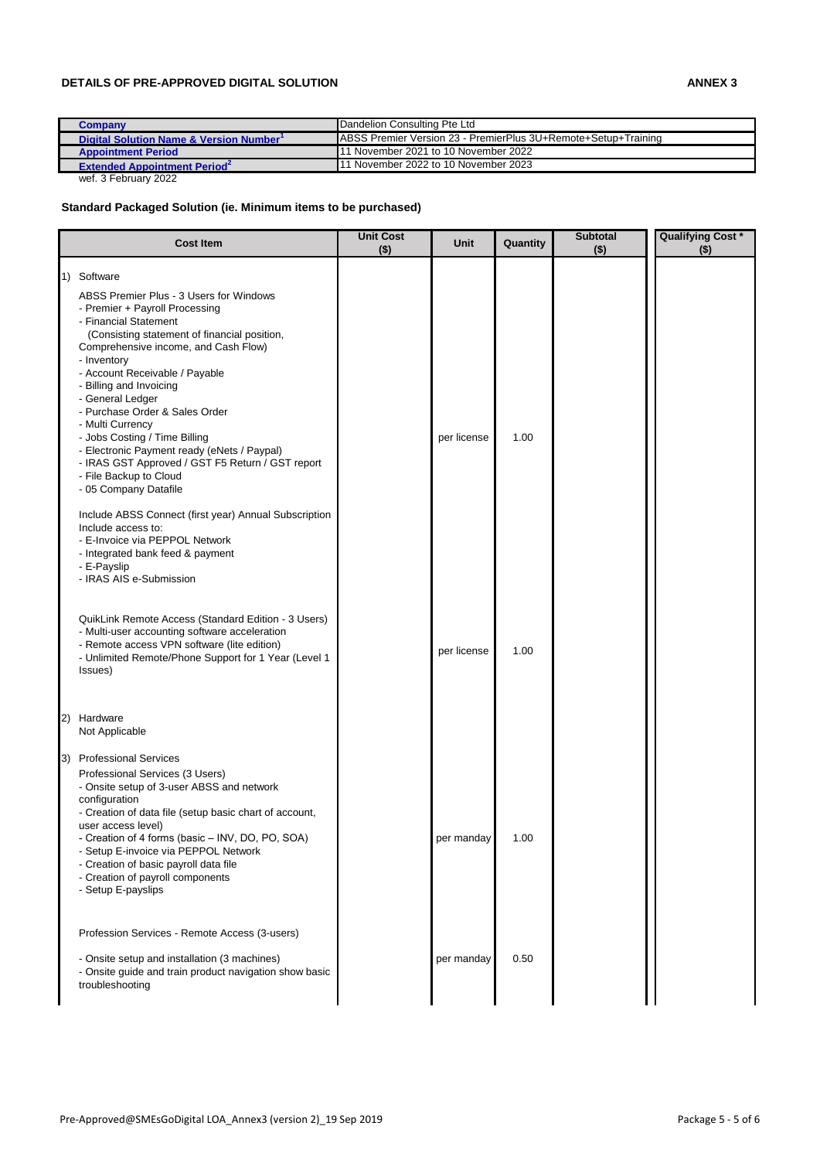## **DETAILS OF PRE-APPROVED DIGITAL SOLUTION ANNEX 3**

| Company                                         | Dandelion Consulting Pte Ltd                                   |
|-------------------------------------------------|----------------------------------------------------------------|
| Digital Solution Name & Version Number          | ABSS Premier Version 23 - PremierPlus 3U+Remote+Setup+Training |
| <b>Appointment Period</b>                       | 11 November 2021 to 10 November 2022                           |
| <b>Extended Appointment Period</b> <sup>2</sup> | 11 November 2022 to 10 November 2023                           |

wef. 3 February 2022

## **Standard Packaged Solution (ie. Minimum items to be purchased)**

| <b>Cost Item</b>                                                                                                                                                                                                                                                                                                                                                                                                                                                                                                                                                                                                                                                                                                                                                                                                                                                                                                                                                                | <b>Unit Cost</b><br>$($ \$) | Unit                       | Quantity     | <b>Subtotal</b><br>$($ \$) | <b>Qualifying Cost *</b><br>$($ \$ |
|---------------------------------------------------------------------------------------------------------------------------------------------------------------------------------------------------------------------------------------------------------------------------------------------------------------------------------------------------------------------------------------------------------------------------------------------------------------------------------------------------------------------------------------------------------------------------------------------------------------------------------------------------------------------------------------------------------------------------------------------------------------------------------------------------------------------------------------------------------------------------------------------------------------------------------------------------------------------------------|-----------------------------|----------------------------|--------------|----------------------------|------------------------------------|
| 1) Software<br>ABSS Premier Plus - 3 Users for Windows<br>- Premier + Payroll Processing<br>- Financial Statement<br>(Consisting statement of financial position,<br>Comprehensive income, and Cash Flow)<br>- Inventory<br>- Account Receivable / Payable<br>- Billing and Invoicing<br>- General Ledger<br>- Purchase Order & Sales Order<br>- Multi Currency<br>- Jobs Costing / Time Billing<br>- Electronic Payment ready (eNets / Paypal)<br>- IRAS GST Approved / GST F5 Return / GST report<br>- File Backup to Cloud<br>- 05 Company Datafile<br>Include ABSS Connect (first year) Annual Subscription<br>Include access to:<br>- E-Invoice via PEPPOL Network<br>- Integrated bank feed & payment<br>- E-Payslip<br>- IRAS AIS e-Submission<br>QuikLink Remote Access (Standard Edition - 3 Users)<br>- Multi-user accounting software acceleration<br>- Remote access VPN software (lite edition)<br>- Unlimited Remote/Phone Support for 1 Year (Level 1<br>Issues) |                             | per license<br>per license | 1.00<br>1.00 |                            |                                    |
| Hardware<br>2)<br>Not Applicable<br>3) Professional Services<br>Professional Services (3 Users)<br>- Onsite setup of 3-user ABSS and network<br>configuration<br>- Creation of data file (setup basic chart of account,<br>user access level)<br>- Creation of 4 forms (basic - INV, DO, PO, SOA)<br>- Setup E-invoice via PEPPOL Network<br>- Creation of basic payroll data file<br>- Creation of payroll components<br>- Setup E-payslips<br>Profession Services - Remote Access (3-users)<br>- Onsite setup and installation (3 machines)<br>- Onsite guide and train product navigation show basic<br>troubleshooting                                                                                                                                                                                                                                                                                                                                                      |                             | per manday<br>per manday   | 1.00<br>0.50 |                            |                                    |